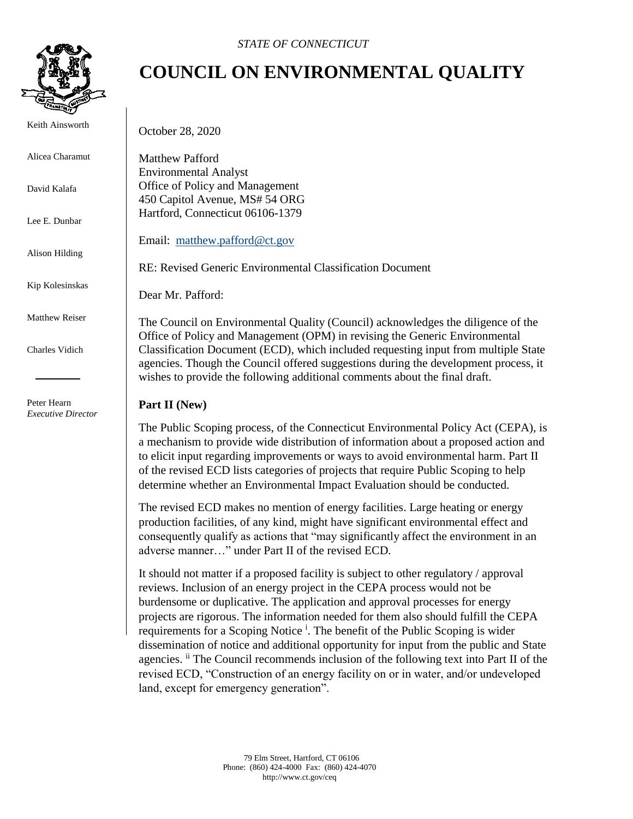

Keith Ainsworth

Alicea Charamut

David Kalafa

Lee E. Dunbar

Alison Hilding

Kip Kolesinskas

Matthew Reiser

Charles Vidich

Peter Hearn *Executive Director*

## **COUNCIL ON ENVIRONMENTAL QUALITY**

October 28, 2020

Matthew Pafford Environmental Analyst Office of Policy and Management 450 Capitol Avenue, MS# 54 ORG Hartford, Connecticut 06106-1379

Email: [matthew.pafford@ct.gov](mailto:matthew.pafford@ct.gov)

RE: Revised Generic Environmental Classification Document

Dear Mr. Pafford:

The Council on Environmental Quality (Council) acknowledges the diligence of the Office of Policy and Management (OPM) in revising the Generic Environmental Classification Document (ECD), which included requesting input from multiple State agencies. Though the Council offered suggestions during the development process, it wishes to provide the following additional comments about the final draft.

## **Part II (New)**

The Public Scoping process, of the Connecticut Environmental Policy Act (CEPA), is a mechanism to provide wide distribution of information about a proposed action and to elicit input regarding improvements or ways to avoid environmental harm. Part II of the revised ECD lists categories of projects that require Public Scoping to help determine whether an Environmental Impact Evaluation should be conducted.

The revised ECD makes no mention of energy facilities. Large heating or energy production facilities, of any kind, might have significant environmental effect and consequently qualify as actions that "may significantly affect the environment in an adverse manner…" under Part II of the revised ECD.

It should not matter if a proposed facility is subject to other regulatory / approval reviews. Inclusion of an energy project in the CEPA process would not be burdensome or duplicative. The application and approval processes for energy projects are rigorous. The information needed for them also should fulfill the CEPA requirements for a Scoping Notice<sup>1</sup>. The benefit of the Public Scoping is wider dissemination of notice and additional opportunity for input from the public and State agencies. <sup>ii</sup> The Council recommends inclusion of the following text into Part II of the revised ECD, "Construction of an energy facility on or in water, and/or undeveloped land, except for emergency generation".